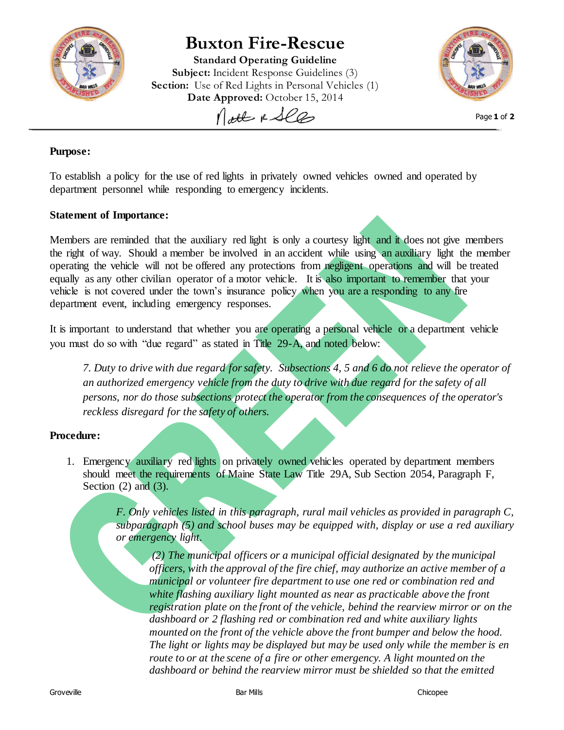

## **Buxton Fire-Rescue**

**Standard Operating Guideline Subject:** Incident Response Guidelines (3) **Section:** Use of Red Lights in Personal Vehicles (1) Date Approved: October 15, 2014 Molt & See



Page **1** of **2**

## **Purpose:**

To establish a policy for the use of red lights in privately owned vehicles owned and operated by department personnel while responding to emergency incidents.

## **Statement of Importance:**

Members are reminded that the auxiliary red light is only a courtesy light and it does not give members the right of way. Should a member be involved in an accident while using an auxiliary light the member operating the vehicle will not be offered any protections from negligent operations and will be treated equally as any other civilian operator of a motor vehicle. It is also important to remember that your vehicle is not covered under the town's insurance policy when you are a responding to any fire department event, including emergency responses.

It is important to understand that whether you are operating a personal vehicle or a department vehicle you must do so with "due regard" as stated in Title 29-A, and noted below:

*7. Duty to drive with due regard for safety. Subsections 4, 5 and 6 do not relieve the operator of an authorized emergency vehicle from the duty to drive with due regard for the safety of all persons, nor do those subsections protect the operator from the consequences of the operator's reckless disregard for the safety of others.*

## **Procedure:**

1. Emergency auxiliary red lights on privately owned vehicles operated by department members should meet the requirements of Maine State Law Title 29A, Sub Section 2054, Paragraph F, Section  $(2)$  and  $(3)$ .

> *F. Only vehicles listed in this paragraph, rural mail vehicles as provided in paragraph C, subparagraph (5) and school buses may be equipped with, display or use a red auxiliary or emergency light.*

*(2) The municipal officers or a municipal official designated by the municipal officers, with the approval of the fire chief, may authorize an active member of a municipal or volunteer fire department to use one red or combination red and white flashing auxiliary light mounted as near as practicable above the front registration plate on the front of the vehicle, behind the rearview mirror or on the dashboard or 2 flashing red or combination red and white auxiliary lights mounted on the front of the vehicle above the front bumper and below the hood. The light or lights may be displayed but may be used only while the member is en route to or at the scene of a fire or other emergency. A light mounted on the dashboard or behind the rearview mirror must be shielded so that the emitted*